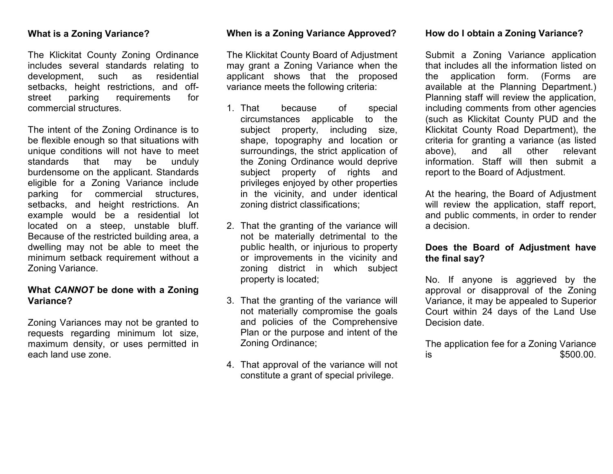### **What is a Zoning Variance?**

The Klickitat County Zoning Ordinance includes several standards relating to development, such as residential setbacks, height restrictions, and offstreet parking requirements for commercial structures.

The intent of the Zoning Ordinance is to be flexible enough so that situations with unique conditions will not have to meet standards that may be unduly burdensome on the applicant. Standards eligible for a Zoning Variance include parking for commercial structures, setbacks, and height restrictions. An example would be a residential lot located on a steep, unstable bluff. Because of the restricted building area, a dwelling may not be able to meet the minimum setback requirement without a Zoning Variance.

## **What** *CANNOT* **be done with a Zoning Variance?**

Zoning Variances may not be granted to requests regarding minimum lot size, maximum density, or uses permitted in each land use zone.

### **When is a Zoning Variance Approved?**

The Klickitat County Board of Adjustment may grant a Zoning Variance when the applicant shows that the proposed variance meets the following criteria:

- 1. That because of special circumstances applicable to the subject property, including size, shape, topography and location or surroundings, the strict application of the Zoning Ordinance would deprive subject property of rights and privileges enjoyed by other properties in the vicinity, and under identical zoning district classifications;
- 2. That the granting of the variance will not be materially detrimental to the public health, or injurious to property or improvements in the vicinity and zoning district in which subject property is located;
- 3. That the granting of the variance will not materially compromise the goals and policies of the Comprehensive Plan or the purpose and intent of the Zoning Ordinance;
- 4. That approval of the variance will not constitute a grant of special privilege.

### **How do I obtain a Zoning Variance?**

Submit a Zoning Variance application that includes all the information listed on the application form. (Forms are available at the Planning Department.) Planning staff will review the application, including comments from other agencies (such as Klickitat County PUD and the Klickitat County Road Department), the criteria for granting a variance (as listed above), and all other relevant information. Staff will then submit a report to the Board of Adjustment.

At the hearing, the Board of Adjustment will review the application, staff report, and public comments, in order to render a decision.

## **Does the Board of Adjustment have the final say?**

No. If anyone is aggrieved by the approval or disapproval of the Zoning Variance, it may be appealed to Superior Court within 24 days of the Land Use Decision date.

The application fee for a Zoning Variance  $\frac{1}{15}$  is  $\frac{1}{10}$  is  $\frac{1}{10}$  is  $\frac{1}{10}$  is  $\frac{1}{10}$  is  $\frac{1}{10}$  is  $\frac{1}{10}$  is  $\frac{1}{10}$  is  $\frac{1}{10}$  is  $\frac{1}{10}$  is  $\frac{1}{10}$  is  $\frac{1}{10}$  is  $\frac{1}{10}$  is  $\frac{1}{10}$  is  $\frac{1}{10}$  is  $\frac{1}{10}$